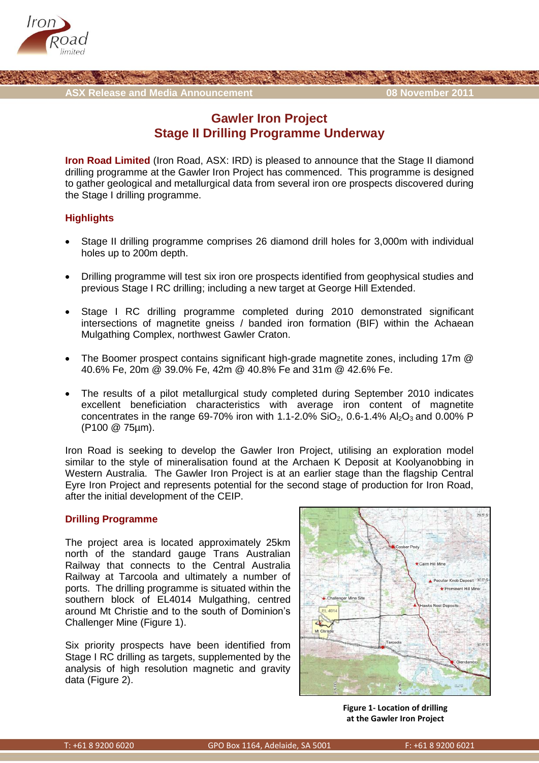



## **Gawler Iron Project Stage II Drilling Programme Underway**

**Iron Road Limited** (Iron Road, ASX: IRD) is pleased to announce that the Stage II diamond drilling programme at the Gawler Iron Project has commenced. This programme is designed to gather geological and metallurgical data from several iron ore prospects discovered during the Stage I drilling programme.

## **Highlights**

- Stage II drilling programme comprises 26 diamond drill holes for 3,000m with individual holes up to 200m depth.
- Drilling programme will test six iron ore prospects identified from geophysical studies and previous Stage I RC drilling; including a new target at George Hill Extended.
- Stage I RC drilling programme completed during 2010 demonstrated significant intersections of magnetite gneiss / banded iron formation (BIF) within the Achaean Mulgathing Complex, northwest Gawler Craton.
- The Boomer prospect contains significant high-grade magnetite zones, including 17m @ 40.6% Fe, 20m @ 39.0% Fe, 42m @ 40.8% Fe and 31m @ 42.6% Fe.
- The results of a pilot metallurgical study completed during September 2010 indicates excellent beneficiation characteristics with average iron content of magnetite concentrates in the range 69-70% iron with 1.1-2.0%  $SiO_2$ , 0.6-1.4% Al<sub>2</sub>O<sub>3</sub> and 0.00% P (P100 @ 75µm).

Iron Road is seeking to develop the Gawler Iron Project, utilising an exploration model similar to the style of mineralisation found at the Archaen K Deposit at Koolyanobbing in Western Australia. The Gawler Iron Project is at an earlier stage than the flagship Central Eyre Iron Project and represents potential for the second stage of production for Iron Road, after the initial development of the CEIP.

## **Drilling Programme**

The project area is located approximately 25km north of the standard gauge Trans Australian Railway that connects to the Central Australia Railway at Tarcoola and ultimately a number of ports. The drilling programme is situated within the southern block of EL4014 Mulgathing, centred around Mt Christie and to the south of Dominion's Challenger Mine (Figure 1).

Six priority prospects have been identified from Stage I RC drilling as targets, supplemented by the analysis of high resolution magnetic and gravity data (Figure 2).



**Figure 1- Location of drilling at the Gawler Iron Project**